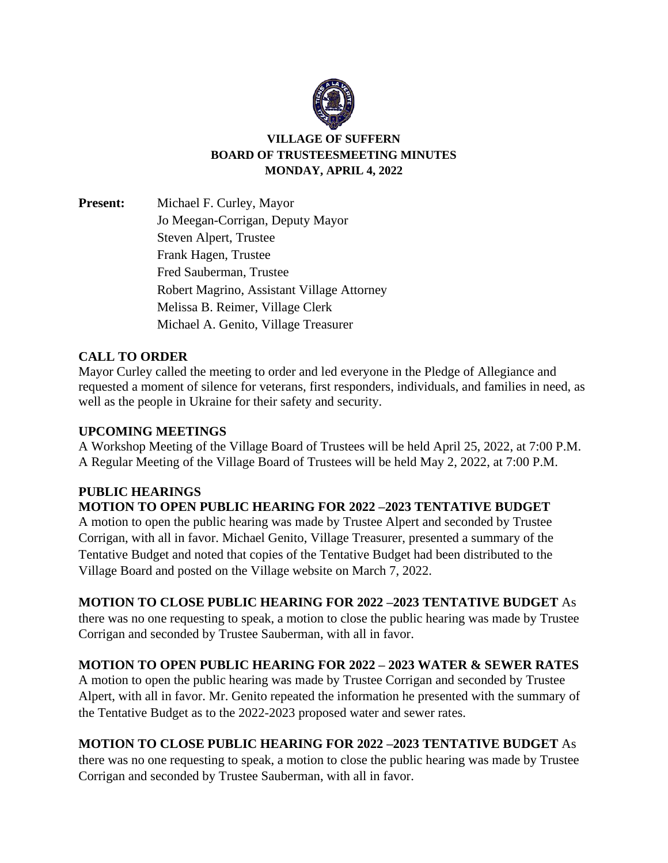

# **VILLAGE OF SUFFERN BOARD OF TRUSTEESMEETING MINUTES MONDAY, APRIL 4, 2022**

**Present:** Michael F. Curley, Mayor Jo Meegan-Corrigan, Deputy Mayor Steven Alpert, Trustee Frank Hagen, Trustee Fred Sauberman, Trustee Robert Magrino, Assistant Village Attorney Melissa B. Reimer, Village Clerk Michael A. Genito, Village Treasurer

# **CALL TO ORDER**

Mayor Curley called the meeting to order and led everyone in the Pledge of Allegiance and requested a moment of silence for veterans, first responders, individuals, and families in need, as well as the people in Ukraine for their safety and security.

# **UPCOMING MEETINGS**

A Workshop Meeting of the Village Board of Trustees will be held April 25, 2022, at 7:00 P.M. A Regular Meeting of the Village Board of Trustees will be held May 2, 2022, at 7:00 P.M.

# **PUBLIC HEARINGS MOTION TO OPEN PUBLIC HEARING FOR 2022 –2023 TENTATIVE BUDGET** A motion to open the public hearing was made by Trustee Alpert and seconded by Trustee Corrigan, with all in favor. Michael Genito, Village Treasurer, presented a summary of the Tentative Budget and noted that copies of the Tentative Budget had been distributed to the Village Board and posted on the Village website on March 7, 2022.

# **MOTION TO CLOSE PUBLIC HEARING FOR 2022 –2023 TENTATIVE BUDGET** As

there was no one requesting to speak, a motion to close the public hearing was made by Trustee Corrigan and seconded by Trustee Sauberman, with all in favor.

# **MOTION TO OPEN PUBLIC HEARING FOR 2022 – 2023 WATER & SEWER RATES**

A motion to open the public hearing was made by Trustee Corrigan and seconded by Trustee Alpert, with all in favor. Mr. Genito repeated the information he presented with the summary of the Tentative Budget as to the 2022-2023 proposed water and sewer rates.

# **MOTION TO CLOSE PUBLIC HEARING FOR 2022 –2023 TENTATIVE BUDGET** As

there was no one requesting to speak, a motion to close the public hearing was made by Trustee Corrigan and seconded by Trustee Sauberman, with all in favor.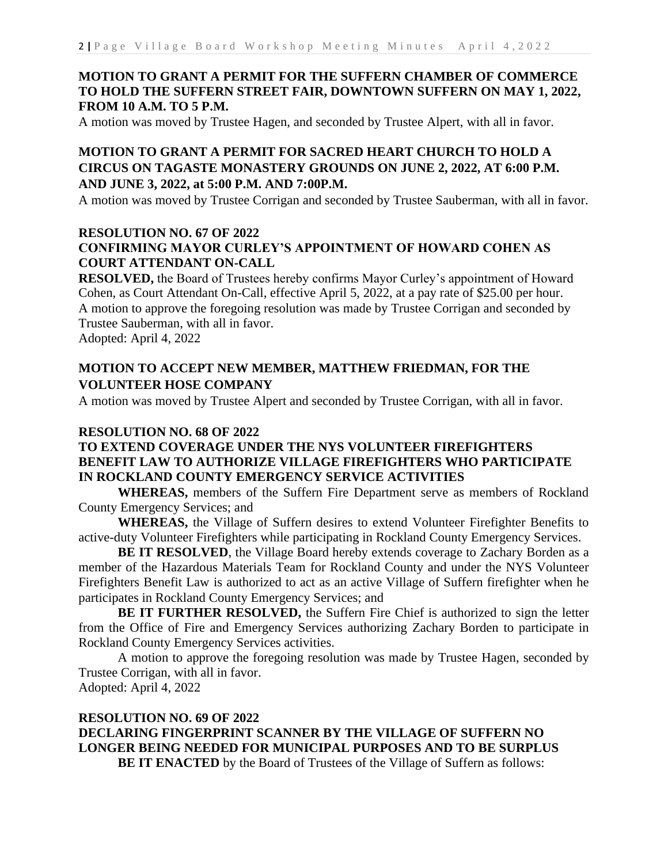# **MOTION TO GRANT A PERMIT FOR THE SUFFERN CHAMBER OF COMMERCE TO HOLD THE SUFFERN STREET FAIR, DOWNTOWN SUFFERN ON MAY 1, 2022, FROM 10 A.M. TO 5 P.M.**

A motion was moved by Trustee Hagen, and seconded by Trustee Alpert, with all in favor.

# **MOTION TO GRANT A PERMIT FOR SACRED HEART CHURCH TO HOLD A CIRCUS ON TAGASTE MONASTERY GROUNDS ON JUNE 2, 2022, AT 6:00 P.M. AND JUNE 3, 2022, at 5:00 P.M. AND 7:00P.M.**

A motion was moved by Trustee Corrigan and seconded by Trustee Sauberman, with all in favor.

# **RESOLUTION NO. 67 OF 2022 CONFIRMING MAYOR CURLEY'S APPOINTMENT OF HOWARD COHEN AS COURT ATTENDANT ON-CALL**

**RESOLVED,** the Board of Trustees hereby confirms Mayor Curley's appointment of Howard Cohen, as Court Attendant On-Call, effective April 5, 2022, at a pay rate of \$25.00 per hour. A motion to approve the foregoing resolution was made by Trustee Corrigan and seconded by Trustee Sauberman, with all in favor. Adopted: April 4, 2022

# **MOTION TO ACCEPT NEW MEMBER, MATTHEW FRIEDMAN, FOR THE VOLUNTEER HOSE COMPANY**

A motion was moved by Trustee Alpert and seconded by Trustee Corrigan, with all in favor.

#### **RESOLUTION NO. 68 OF 2022**

# **TO EXTEND COVERAGE UNDER THE NYS VOLUNTEER FIREFIGHTERS BENEFIT LAW TO AUTHORIZE VILLAGE FIREFIGHTERS WHO PARTICIPATE IN ROCKLAND COUNTY EMERGENCY SERVICE ACTIVITIES**

**WHEREAS,** members of the Suffern Fire Department serve as members of Rockland County Emergency Services; and

**WHEREAS,** the Village of Suffern desires to extend Volunteer Firefighter Benefits to active-duty Volunteer Firefighters while participating in Rockland County Emergency Services.

**BE IT RESOLVED**, the Village Board hereby extends coverage to Zachary Borden as a member of the Hazardous Materials Team for Rockland County and under the NYS Volunteer Firefighters Benefit Law is authorized to act as an active Village of Suffern firefighter when he participates in Rockland County Emergency Services; and

**BE IT FURTHER RESOLVED,** the Suffern Fire Chief is authorized to sign the letter from the Office of Fire and Emergency Services authorizing Zachary Borden to participate in Rockland County Emergency Services activities.

A motion to approve the foregoing resolution was made by Trustee Hagen, seconded by Trustee Corrigan, with all in favor.

Adopted: April 4, 2022

#### **RESOLUTION NO. 69 OF 2022 DECLARING FINGERPRINT SCANNER BY THE VILLAGE OF SUFFERN NO LONGER BEING NEEDED FOR MUNICIPAL PURPOSES AND TO BE SURPLUS BE IT ENACTED** by the Board of Trustees of the Village of Suffern as follows: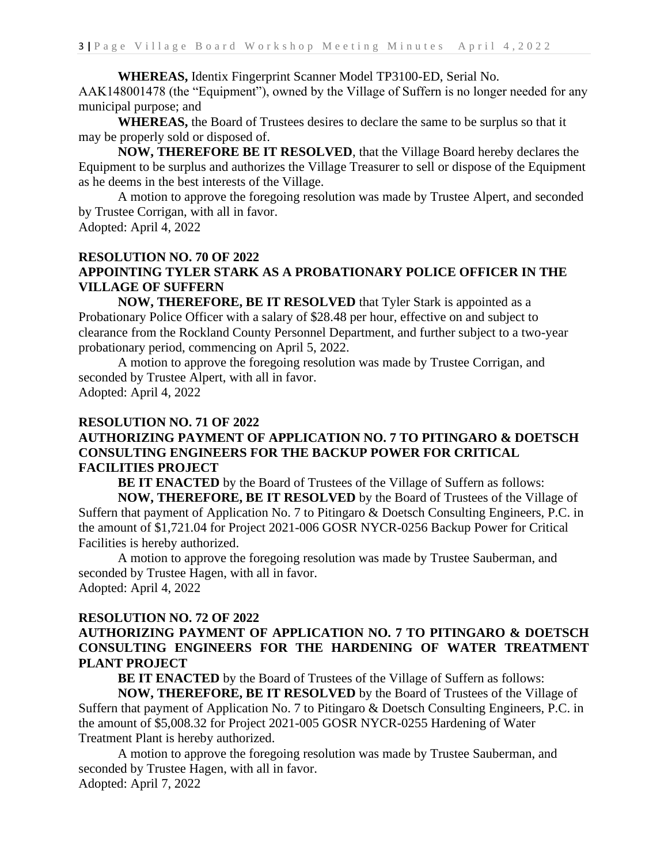**WHEREAS,** Identix Fingerprint Scanner Model TP3100-ED, Serial No. AAK148001478 (the "Equipment"), owned by the Village of Suffern is no longer needed for any municipal purpose; and

**WHEREAS,** the Board of Trustees desires to declare the same to be surplus so that it may be properly sold or disposed of.

**NOW, THEREFORE BE IT RESOLVED**, that the Village Board hereby declares the Equipment to be surplus and authorizes the Village Treasurer to sell or dispose of the Equipment as he deems in the best interests of the Village.

A motion to approve the foregoing resolution was made by Trustee Alpert, and seconded by Trustee Corrigan, with all in favor.

Adopted: April 4, 2022

# **RESOLUTION NO. 70 OF 2022 APPOINTING TYLER STARK AS A PROBATIONARY POLICE OFFICER IN THE VILLAGE OF SUFFERN**

**NOW, THEREFORE, BE IT RESOLVED** that Tyler Stark is appointed as a Probationary Police Officer with a salary of \$28.48 per hour, effective on and subject to clearance from the Rockland County Personnel Department, and further subject to a two-year probationary period, commencing on April 5, 2022.

A motion to approve the foregoing resolution was made by Trustee Corrigan, and seconded by Trustee Alpert, with all in favor.

Adopted: April 4, 2022

#### **RESOLUTION NO. 71 OF 2022**

### **AUTHORIZING PAYMENT OF APPLICATION NO. 7 TO PITINGARO & DOETSCH CONSULTING ENGINEERS FOR THE BACKUP POWER FOR CRITICAL FACILITIES PROJECT**

**BE IT ENACTED** by the Board of Trustees of the Village of Suffern as follows: **NOW, THEREFORE, BE IT RESOLVED** by the Board of Trustees of the Village of Suffern that payment of Application No. 7 to Pitingaro & Doetsch Consulting Engineers, P.C. in the amount of \$1,721.04 for Project 2021-006 GOSR NYCR-0256 Backup Power for Critical Facilities is hereby authorized.

A motion to approve the foregoing resolution was made by Trustee Sauberman, and seconded by Trustee Hagen, with all in favor. Adopted: April 4, 2022

# **RESOLUTION NO. 72 OF 2022**

# **AUTHORIZING PAYMENT OF APPLICATION NO. 7 TO PITINGARO & DOETSCH CONSULTING ENGINEERS FOR THE HARDENING OF WATER TREATMENT PLANT PROJECT**

**BE IT ENACTED** by the Board of Trustees of the Village of Suffern as follows:

**NOW, THEREFORE, BE IT RESOLVED** by the Board of Trustees of the Village of Suffern that payment of Application No. 7 to Pitingaro & Doetsch Consulting Engineers, P.C. in the amount of \$5,008.32 for Project 2021-005 GOSR NYCR-0255 Hardening of Water Treatment Plant is hereby authorized.

A motion to approve the foregoing resolution was made by Trustee Sauberman, and seconded by Trustee Hagen, with all in favor. Adopted: April 7, 2022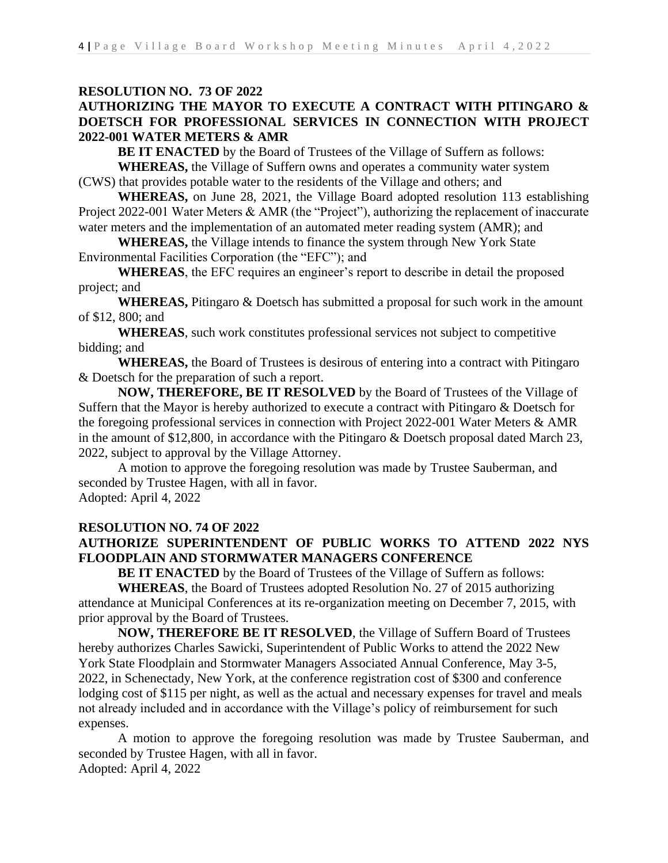### **RESOLUTION NO. 73 OF 2022**

# **AUTHORIZING THE MAYOR TO EXECUTE A CONTRACT WITH PITINGARO & DOETSCH FOR PROFESSIONAL SERVICES IN CONNECTION WITH PROJECT 2022-001 WATER METERS & AMR**

**BE IT ENACTED** by the Board of Trustees of the Village of Suffern as follows:

**WHEREAS,** the Village of Suffern owns and operates a community water system (CWS) that provides potable water to the residents of the Village and others; and

**WHEREAS,** on June 28, 2021, the Village Board adopted resolution 113 establishing Project 2022-001 Water Meters & AMR (the "Project"), authorizing the replacement of inaccurate water meters and the implementation of an automated meter reading system (AMR); and

**WHEREAS,** the Village intends to finance the system through New York State Environmental Facilities Corporation (the "EFC"); and

**WHEREAS**, the EFC requires an engineer's report to describe in detail the proposed project; and

**WHEREAS,** Pitingaro & Doetsch has submitted a proposal for such work in the amount of \$12, 800; and

**WHEREAS**, such work constitutes professional services not subject to competitive bidding; and

**WHEREAS,** the Board of Trustees is desirous of entering into a contract with Pitingaro & Doetsch for the preparation of such a report.

**NOW, THEREFORE, BE IT RESOLVED** by the Board of Trustees of the Village of Suffern that the Mayor is hereby authorized to execute a contract with Pitingaro & Doetsch for the foregoing professional services in connection with Project 2022-001 Water Meters & AMR in the amount of \$12,800, in accordance with the Pitingaro & Doetsch proposal dated March 23, 2022, subject to approval by the Village Attorney.

A motion to approve the foregoing resolution was made by Trustee Sauberman, and seconded by Trustee Hagen, with all in favor. Adopted: April 4, 2022

#### **RESOLUTION NO. 74 OF 2022**

# **AUTHORIZE SUPERINTENDENT OF PUBLIC WORKS TO ATTEND 2022 NYS FLOODPLAIN AND STORMWATER MANAGERS CONFERENCE**

**BE IT ENACTED** by the Board of Trustees of the Village of Suffern as follows:

**WHEREAS**, the Board of Trustees adopted Resolution No. 27 of 2015 authorizing attendance at Municipal Conferences at its re-organization meeting on December 7, 2015, with prior approval by the Board of Trustees.

**NOW, THEREFORE BE IT RESOLVED**, the Village of Suffern Board of Trustees hereby authorizes Charles Sawicki, Superintendent of Public Works to attend the 2022 New York State Floodplain and Stormwater Managers Associated Annual Conference, May 3-5, 2022, in Schenectady, New York, at the conference registration cost of \$300 and conference lodging cost of \$115 per night, as well as the actual and necessary expenses for travel and meals not already included and in accordance with the Village's policy of reimbursement for such expenses.

A motion to approve the foregoing resolution was made by Trustee Sauberman, and seconded by Trustee Hagen, with all in favor. Adopted: April 4, 2022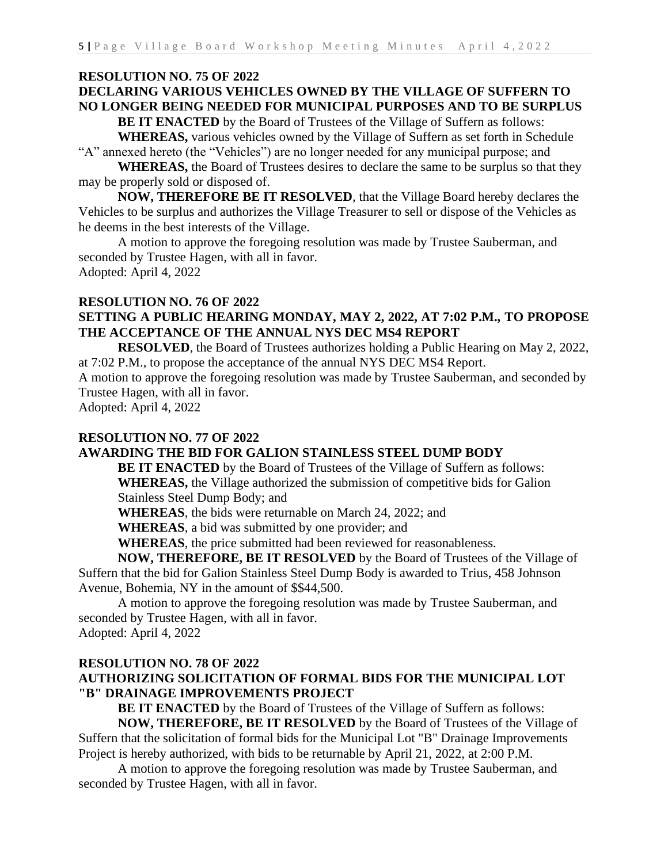# **RESOLUTION NO. 75 OF 2022 DECLARING VARIOUS VEHICLES OWNED BY THE VILLAGE OF SUFFERN TO NO LONGER BEING NEEDED FOR MUNICIPAL PURPOSES AND TO BE SURPLUS**

**BE IT ENACTED** by the Board of Trustees of the Village of Suffern as follows:

**WHEREAS,** various vehicles owned by the Village of Suffern as set forth in Schedule "A" annexed hereto (the "Vehicles") are no longer needed for any municipal purpose; and

**WHEREAS,** the Board of Trustees desires to declare the same to be surplus so that they may be properly sold or disposed of.

**NOW, THEREFORE BE IT RESOLVED**, that the Village Board hereby declares the Vehicles to be surplus and authorizes the Village Treasurer to sell or dispose of the Vehicles as he deems in the best interests of the Village.

A motion to approve the foregoing resolution was made by Trustee Sauberman, and seconded by Trustee Hagen, with all in favor.

Adopted: April 4, 2022

# **RESOLUTION NO. 76 OF 2022**

# **SETTING A PUBLIC HEARING MONDAY, MAY 2, 2022, AT 7:02 P.M., TO PROPOSE THE ACCEPTANCE OF THE ANNUAL NYS DEC MS4 REPORT**

**RESOLVED**, the Board of Trustees authorizes holding a Public Hearing on May 2, 2022, at 7:02 P.M., to propose the acceptance of the annual NYS DEC MS4 Report.

A motion to approve the foregoing resolution was made by Trustee Sauberman, and seconded by Trustee Hagen, with all in favor.

Adopted: April 4, 2022

## **RESOLUTION NO. 77 OF 2022**

# **AWARDING THE BID FOR GALION STAINLESS STEEL DUMP BODY**

**BE IT ENACTED** by the Board of Trustees of the Village of Suffern as follows: **WHEREAS,** the Village authorized the submission of competitive bids for Galion Stainless Steel Dump Body; and

**WHEREAS**, the bids were returnable on March 24, 2022; and

**WHEREAS**, a bid was submitted by one provider; and

**WHEREAS**, the price submitted had been reviewed for reasonableness.

**NOW, THEREFORE, BE IT RESOLVED** by the Board of Trustees of the Village of Suffern that the bid for Galion Stainless Steel Dump Body is awarded to Trius, 458 Johnson Avenue, Bohemia, NY in the amount of \$\$44,500.

A motion to approve the foregoing resolution was made by Trustee Sauberman, and seconded by Trustee Hagen, with all in favor. Adopted: April 4, 2022

# **RESOLUTION NO. 78 OF 2022**

# **AUTHORIZING SOLICITATION OF FORMAL BIDS FOR THE MUNICIPAL LOT "B" DRAINAGE IMPROVEMENTS PROJECT**

**BE IT ENACTED** by the Board of Trustees of the Village of Suffern as follows: **NOW, THEREFORE, BE IT RESOLVED** by the Board of Trustees of the Village of Suffern that the solicitation of formal bids for the Municipal Lot "B" Drainage Improvements Project is hereby authorized, with bids to be returnable by April 21, 2022, at 2:00 P.M.

A motion to approve the foregoing resolution was made by Trustee Sauberman, and seconded by Trustee Hagen, with all in favor.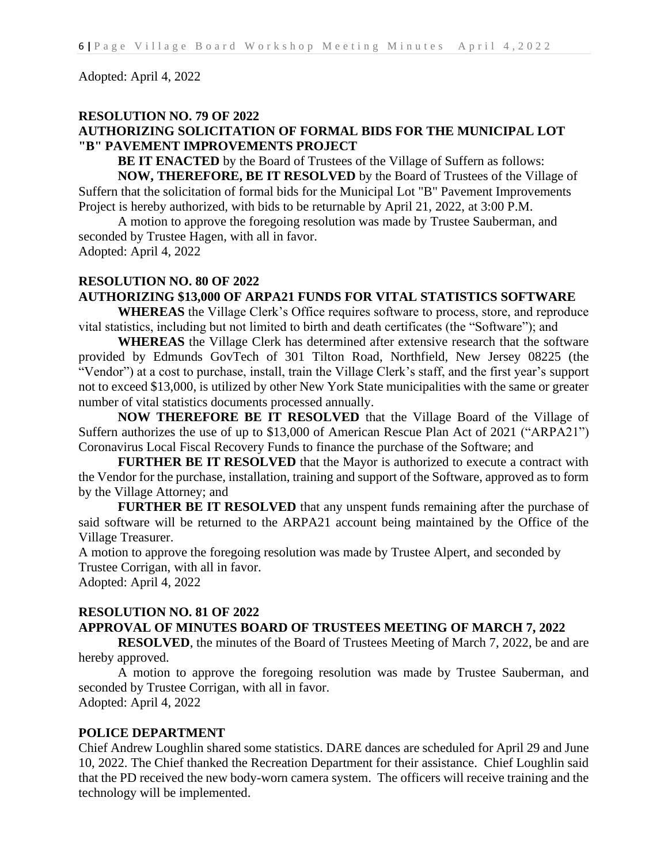Adopted: April 4, 2022

#### **RESOLUTION NO. 79 OF 2022 AUTHORIZING SOLICITATION OF FORMAL BIDS FOR THE MUNICIPAL LOT "B" PAVEMENT IMPROVEMENTS PROJECT**

**BE IT ENACTED** by the Board of Trustees of the Village of Suffern as follows: **NOW, THEREFORE, BE IT RESOLVED** by the Board of Trustees of the Village of Suffern that the solicitation of formal bids for the Municipal Lot "B" Pavement Improvements Project is hereby authorized, with bids to be returnable by April 21, 2022, at 3:00 P.M.

A motion to approve the foregoing resolution was made by Trustee Sauberman, and seconded by Trustee Hagen, with all in favor. Adopted: April 4, 2022

#### **RESOLUTION NO. 80 OF 2022 AUTHORIZING \$13,000 OF ARPA21 FUNDS FOR VITAL STATISTICS SOFTWARE**

### **WHEREAS** the Village Clerk's Office requires software to process, store, and reproduce vital statistics, including but not limited to birth and death certificates (the "Software"); and

**WHEREAS** the Village Clerk has determined after extensive research that the software provided by Edmunds GovTech of 301 Tilton Road, Northfield, New Jersey 08225 (the "Vendor") at a cost to purchase, install, train the Village Clerk's staff, and the first year's support not to exceed \$13,000, is utilized by other New York State municipalities with the same or greater number of vital statistics documents processed annually.

**NOW THEREFORE BE IT RESOLVED** that the Village Board of the Village of Suffern authorizes the use of up to \$13,000 of American Rescue Plan Act of 2021 ("ARPA21") Coronavirus Local Fiscal Recovery Funds to finance the purchase of the Software; and

**FURTHER BE IT RESOLVED** that the Mayor is authorized to execute a contract with the Vendor for the purchase, installation, training and support of the Software, approved as to form by the Village Attorney; and

**FURTHER BE IT RESOLVED** that any unspent funds remaining after the purchase of said software will be returned to the ARPA21 account being maintained by the Office of the Village Treasurer.

A motion to approve the foregoing resolution was made by Trustee Alpert, and seconded by Trustee Corrigan, with all in favor.

Adopted: April 4, 2022

#### **RESOLUTION NO. 81 OF 2022 APPROVAL OF MINUTES BOARD OF TRUSTEES MEETING OF MARCH 7, 2022**

**RESOLVED**, the minutes of the Board of Trustees Meeting of March 7, 2022, be and are hereby approved.

A motion to approve the foregoing resolution was made by Trustee Sauberman, and seconded by Trustee Corrigan, with all in favor. Adopted: April 4, 2022

#### **POLICE DEPARTMENT**

Chief Andrew Loughlin shared some statistics. DARE dances are scheduled for April 29 and June 10, 2022. The Chief thanked the Recreation Department for their assistance. Chief Loughlin said that the PD received the new body-worn camera system. The officers will receive training and the technology will be implemented.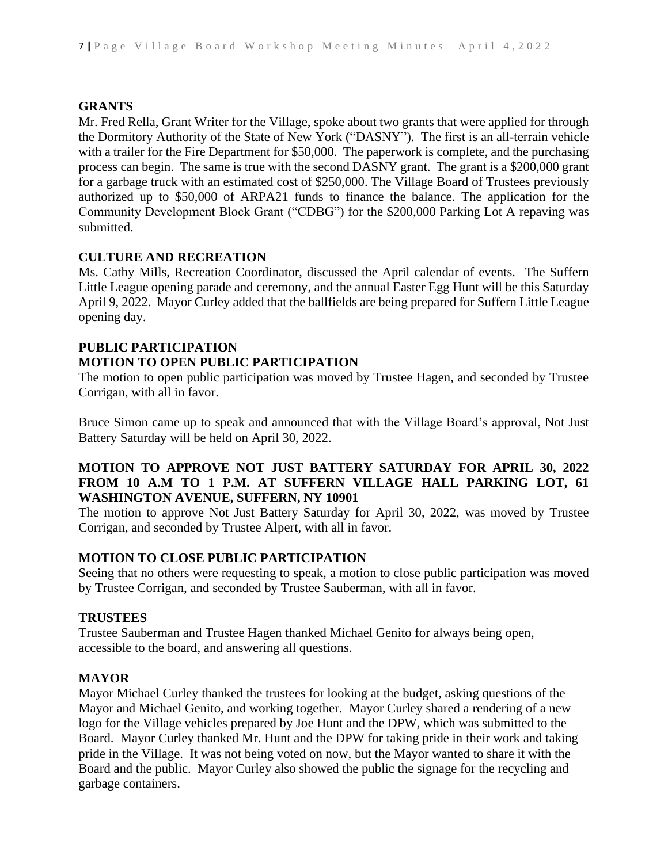#### **GRANTS**

Mr. Fred Rella, Grant Writer for the Village, spoke about two grants that were applied for through the Dormitory Authority of the State of New York ("DASNY"). The first is an all-terrain vehicle with a trailer for the Fire Department for \$50,000. The paperwork is complete, and the purchasing process can begin. The same is true with the second DASNY grant. The grant is a \$200,000 grant for a garbage truck with an estimated cost of \$250,000. The Village Board of Trustees previously authorized up to \$50,000 of ARPA21 funds to finance the balance. The application for the Community Development Block Grant ("CDBG") for the \$200,000 Parking Lot A repaving was submitted.

#### **CULTURE AND RECREATION**

Ms. Cathy Mills, Recreation Coordinator, discussed the April calendar of events. The Suffern Little League opening parade and ceremony, and the annual Easter Egg Hunt will be this Saturday April 9, 2022. Mayor Curley added that the ballfields are being prepared for Suffern Little League opening day.

# **PUBLIC PARTICIPATION MOTION TO OPEN PUBLIC PARTICIPATION**

The motion to open public participation was moved by Trustee Hagen, and seconded by Trustee Corrigan, with all in favor.

Bruce Simon came up to speak and announced that with the Village Board's approval, Not Just Battery Saturday will be held on April 30, 2022.

# **MOTION TO APPROVE NOT JUST BATTERY SATURDAY FOR APRIL 30, 2022 FROM 10 A.M TO 1 P.M. AT SUFFERN VILLAGE HALL PARKING LOT, 61 WASHINGTON AVENUE, SUFFERN, NY 10901**

The motion to approve Not Just Battery Saturday for April 30, 2022, was moved by Trustee Corrigan, and seconded by Trustee Alpert, with all in favor.

#### **MOTION TO CLOSE PUBLIC PARTICIPATION**

Seeing that no others were requesting to speak, a motion to close public participation was moved by Trustee Corrigan, and seconded by Trustee Sauberman, with all in favor.

#### **TRUSTEES**

Trustee Sauberman and Trustee Hagen thanked Michael Genito for always being open, accessible to the board, and answering all questions.

#### **MAYOR**

Mayor Michael Curley thanked the trustees for looking at the budget, asking questions of the Mayor and Michael Genito, and working together. Mayor Curley shared a rendering of a new logo for the Village vehicles prepared by Joe Hunt and the DPW, which was submitted to the Board. Mayor Curley thanked Mr. Hunt and the DPW for taking pride in their work and taking pride in the Village. It was not being voted on now, but the Mayor wanted to share it with the Board and the public. Mayor Curley also showed the public the signage for the recycling and garbage containers.